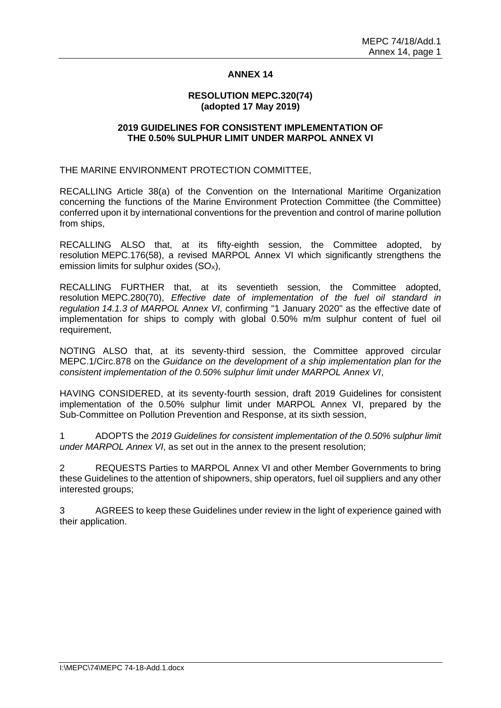### **ANNEX 14**

#### **RESOLUTION MEPC.320(74) (adopted 17 May 2019)**

#### **2019 GUIDELINES FOR CONSISTENT IMPLEMENTATION OF THE 0.50% SULPHUR LIMIT UNDER MARPOL ANNEX VI**

THE MARINE ENVIRONMENT PROTECTION COMMITTEE,

RECALLING Article 38(a) of the Convention on the International Maritime Organization concerning the functions of the Marine Environment Protection Committee (the Committee) conferred upon it by international conventions for the prevention and control of marine pollution from ships,

RECALLING ALSO that, at its fifty-eighth session, the Committee adopted, by resolution MEPC.176(58), a revised MARPOL Annex VI which significantly strengthens the emission limits for sulphur oxides  $(SO<sub>x</sub>)$ ,

RECALLING FURTHER that, at its seventieth session, the Committee adopted, resolution MEPC.280(70), *Effective date of implementation of the fuel oil standard in regulation 14.1.3 of MARPOL Annex VI*, confirming "1 January 2020" as the effective date of implementation for ships to comply with global 0.50% m/m sulphur content of fuel oil requirement,

NOTING ALSO that, at its seventy-third session, the Committee approved circular MEPC.1/Circ.878 on the *Guidance on the development of a ship implementation plan for the consistent implementation of the 0.50% sulphur limit under MARPOL Annex VI*,

HAVING CONSIDERED, at its seventy-fourth session, draft 2019 Guidelines for consistent implementation of the 0.50% sulphur limit under MARPOL Annex VI, prepared by the Sub-Committee on Pollution Prevention and Response, at its sixth session,

1 ADOPTS the *2019 Guidelines for consistent implementation of the 0.50% sulphur limit under MARPOL Annex VI*, as set out in the annex to the present resolution;

2 REQUESTS Parties to MARPOL Annex VI and other Member Governments to bring these Guidelines to the attention of shipowners, ship operators, fuel oil suppliers and any other interested groups;

3 AGREES to keep these Guidelines under review in the light of experience gained with their application.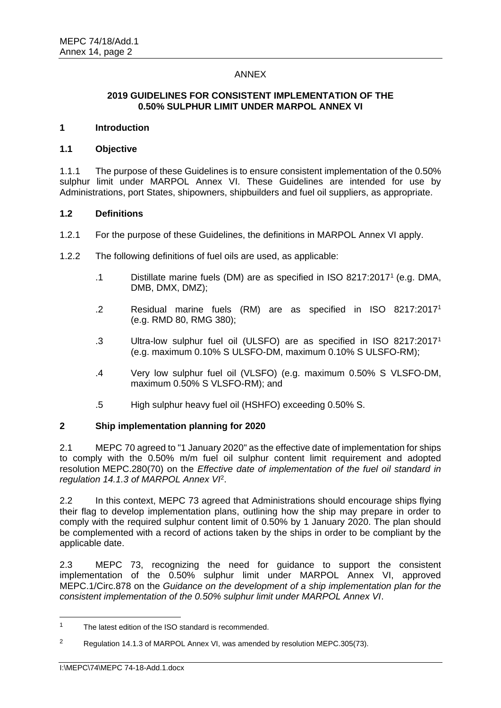# ANNEX

### **2019 GUIDELINES FOR CONSISTENT IMPLEMENTATION OF THE 0.50% SULPHUR LIMIT UNDER MARPOL ANNEX VI**

#### **1 Introduction**

#### **1.1 Objective**

1.1.1 The purpose of these Guidelines is to ensure consistent implementation of the 0.50% sulphur limit under MARPOL Annex VI. These Guidelines are intended for use by Administrations, port States, shipowners, shipbuilders and fuel oil suppliers, as appropriate.

#### **1.2 Definitions**

- 1.2.1 For the purpose of these Guidelines, the definitions in MARPOL Annex VI apply.
- 1.2.2 The following definitions of fuel oils are used, as applicable:
	- .1 Distillate marine fuels (DM) are as specified in ISO 8217:2017<sup>1</sup> (e.g. DMA, DMB, DMX, DMZ);
	- .2 Residual marine fuels (RM) are as specified in ISO 8217:2017<sup>1</sup> (e.g. RMD 80, RMG 380);
	- .3 Ultra-low sulphur fuel oil (ULSFO) are as specified in ISO 8217:2017<sup>1</sup> (e.g. maximum 0.10% S ULSFO-DM, maximum 0.10% S ULSFO-RM);
	- .4 Very low sulphur fuel oil (VLSFO) (e.g. maximum 0.50% S VLSFO-DM, maximum 0.50% S VLSFO-RM); and
	- .5 High sulphur heavy fuel oil (HSHFO) exceeding 0.50% S.

# **2 Ship implementation planning for 2020**

2.1 MEPC 70 agreed to "1 January 2020" as the effective date of implementation for ships to comply with the 0.50% m/m fuel oil sulphur content limit requirement and adopted resolution MEPC.280(70) on the *Effective date of implementation of the fuel oil standard in regulation 14.1.3 of MARPOL Annex VI*<sup>2</sup> .

2.2 In this context, MEPC 73 agreed that Administrations should encourage ships flying their flag to develop implementation plans, outlining how the ship may prepare in order to comply with the required sulphur content limit of 0.50% by 1 January 2020. The plan should be complemented with a record of actions taken by the ships in order to be compliant by the applicable date.

2.3 MEPC 73, recognizing the need for guidance to support the consistent implementation of the 0.50% sulphur limit under MARPOL Annex VI, approved MEPC.1/Circ.878 on the *Guidance on the development of a ship implementation plan for the consistent implementation of the 0.50% sulphur limit under MARPOL Annex VI*.

<sup>&</sup>lt;sup>1</sup> The latest edition of the ISO standard is recommended.

<sup>&</sup>lt;sup>2</sup> Regulation 14.1.3 of MARPOL Annex VI, was amended by resolution MEPC.305(73).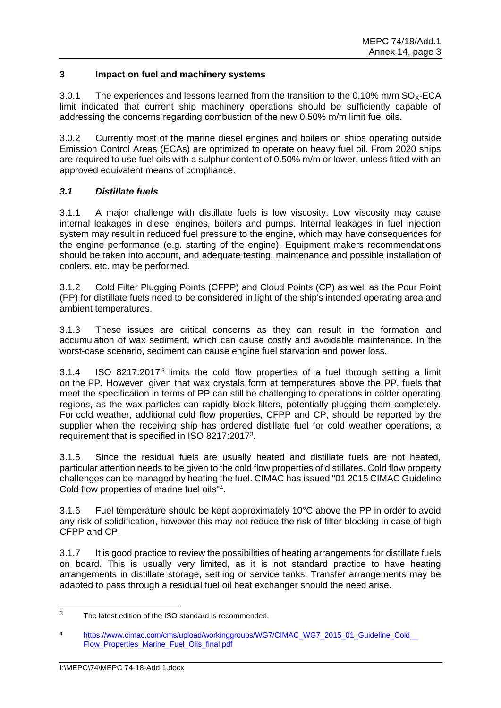# **3 Impact on fuel and machinery systems**

3.0.1 The experiences and lessons learned from the transition to the 0.10% m/m  $SO_x$ -ECA limit indicated that current ship machinery operations should be sufficiently capable of addressing the concerns regarding combustion of the new 0.50% m/m limit fuel oils.

3.0.2 Currently most of the marine diesel engines and boilers on ships operating outside Emission Control Areas (ECAs) are optimized to operate on heavy fuel oil. From 2020 ships are required to use fuel oils with a sulphur content of 0.50% m/m or lower, unless fitted with an approved equivalent means of compliance.

# *3.1 Distillate fuels*

3.1.1 A major challenge with distillate fuels is low viscosity. Low viscosity may cause internal leakages in diesel engines, boilers and pumps. Internal leakages in fuel injection system may result in reduced fuel pressure to the engine, which may have consequences for the engine performance (e.g. starting of the engine). Equipment makers recommendations should be taken into account, and adequate testing, maintenance and possible installation of coolers, etc. may be performed.

3.1.2 Cold Filter Plugging Points (CFPP) and Cloud Points (CP) as well as the Pour Point (PP) for distillate fuels need to be considered in light of the ship's intended operating area and ambient temperatures.

3.1.3 These issues are critical concerns as they can result in the formation and accumulation of wax sediment, which can cause costly and avoidable maintenance. In the worst-case scenario, sediment can cause engine fuel starvation and power loss.

3.1.4 ISO 8217:2017<sup>3</sup> limits the cold flow properties of a fuel through setting a limit on the PP. However, given that wax crystals form at temperatures above the PP, fuels that meet the specification in terms of PP can still be challenging to operations in colder operating regions, as the wax particles can rapidly block filters, potentially plugging them completely. For cold weather, additional cold flow properties, CFPP and CP, should be reported by the supplier when the receiving ship has ordered distillate fuel for cold weather operations, a requirement that is specified in ISO 8217:2017<sup>3</sup>.

3.1.5 Since the residual fuels are usually heated and distillate fuels are not heated, particular attention needs to be given to the cold flow properties of distillates. Cold flow property challenges can be managed by heating the fuel. CIMAC has issued "01 2015 CIMAC Guideline Cold flow properties of marine fuel oils"<sup>4</sup> .

3.1.6 Fuel temperature should be kept approximately 10°C above the PP in order to avoid any risk of solidification, however this may not reduce the risk of filter blocking in case of high CFPP and CP.

3.1.7 It is good practice to review the possibilities of heating arrangements for distillate fuels on board. This is usually very limited, as it is not standard practice to have heating arrangements in distillate storage, settling or service tanks. Transfer arrangements may be adapted to pass through a residual fuel oil heat exchanger should the need arise.

<sup>&</sup>lt;sup>3</sup> The latest edition of the ISO standard is recommended.

<sup>4</sup> https://www.cimac.com/cms/upload/workinggroups/WG7/CIMAC\_WG7\_2015\_01\_Guideline\_Cold [Flow\\_Properties\\_Marine\\_Fuel\\_Oils\\_final.pdf](https://www.cimac.com/cms/upload/workinggroups/WG7/CIMAC_WG7_2015_01_Guideline_Cold__Flow_Properties_Marine_Fuel_Oils_final.pdf)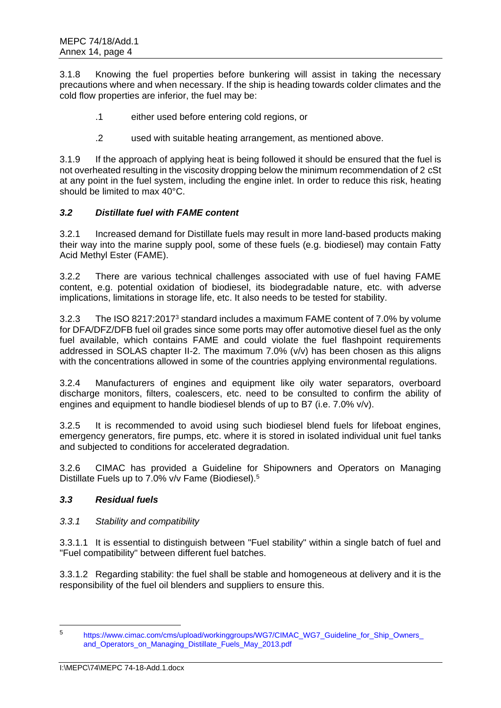3.1.8 Knowing the fuel properties before bunkering will assist in taking the necessary precautions where and when necessary. If the ship is heading towards colder climates and the cold flow properties are inferior, the fuel may be:

- .1 either used before entering cold regions, or
- .2 used with suitable heating arrangement, as mentioned above.

3.1.9 If the approach of applying heat is being followed it should be ensured that the fuel is not overheated resulting in the viscosity dropping below the minimum recommendation of 2 cSt at any point in the fuel system, including the engine inlet. In order to reduce this risk, heating should be limited to max 40°C.

# *3.2 Distillate fuel with FAME content*

3.2.1 Increased demand for Distillate fuels may result in more land-based products making their way into the marine supply pool, some of these fuels (e.g. biodiesel) may contain Fatty Acid Methyl Ester (FAME).

3.2.2 There are various technical challenges associated with use of fuel having FAME content, e.g. potential oxidation of biodiesel, its biodegradable nature, etc. with adverse implications, limitations in storage life, etc. It also needs to be tested for stability.

3.2.3 The ISO 8217:2017<sup>3</sup> standard includes a maximum FAME content of 7.0% by volume for DFA/DFZ/DFB fuel oil grades since some ports may offer automotive diesel fuel as the only fuel available, which contains FAME and could violate the fuel flashpoint requirements addressed in SOLAS chapter II-2. The maximum  $7.0\%$  (v/v) has been chosen as this aligns with the concentrations allowed in some of the countries applying environmental regulations.

3.2.4 Manufacturers of engines and equipment like oily water separators, overboard discharge monitors, filters, coalescers, etc. need to be consulted to confirm the ability of engines and equipment to handle biodiesel blends of up to B7 (i.e. 7.0% v/v).

3.2.5 It is recommended to avoid using such biodiesel blend fuels for lifeboat engines, emergency generators, fire pumps, etc. where it is stored in isolated individual unit fuel tanks and subjected to conditions for accelerated degradation.

3.2.6 CIMAC has provided a Guideline for Shipowners and Operators on Managing Distillate Fuels up to 7.0% v/v Fame (Biodiesel).<sup>5</sup>

# *3.3 Residual fuels*

# *3.3.1 Stability and compatibility*

3.3.1.1 It is essential to distinguish between "Fuel stability" within a single batch of fuel and "Fuel compatibility" between different fuel batches.

3.3.1.2 Regarding stability: the fuel shall be stable and homogeneous at delivery and it is the responsibility of the fuel oil blenders and suppliers to ensure this.

 $\overline{a}$ 

<sup>5</sup> [https://www.cimac.com/cms/upload/workinggroups/WG7/CIMAC\\_WG7\\_Guideline\\_for\\_Ship\\_Owners\\_](https://www.cimac.com/cms/upload/workinggroups/WG7/CIMAC_WG7_Guideline_for_Ship_Owners_and_Operators_on_Managing_Distillate_Fuels_May_2013.pdf) [and\\_Operators\\_on\\_Managing\\_Distillate\\_Fuels\\_May\\_2013.pdf](https://www.cimac.com/cms/upload/workinggroups/WG7/CIMAC_WG7_Guideline_for_Ship_Owners_and_Operators_on_Managing_Distillate_Fuels_May_2013.pdf)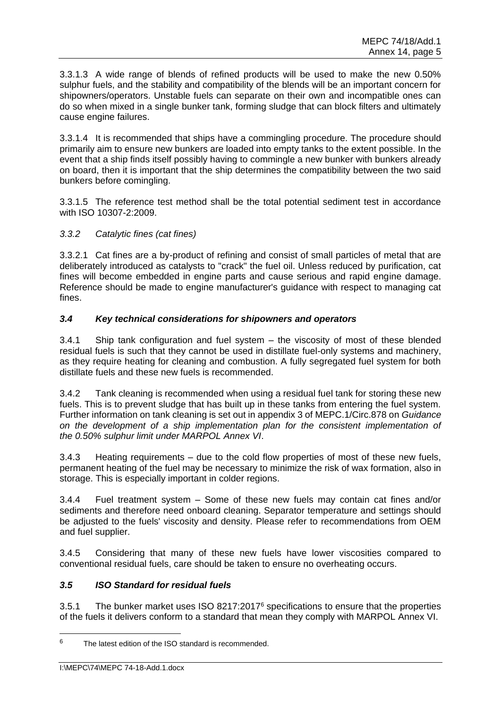3.3.1.3 A wide range of blends of refined products will be used to make the new 0.50% sulphur fuels, and the stability and compatibility of the blends will be an important concern for shipowners/operators. Unstable fuels can separate on their own and incompatible ones can do so when mixed in a single bunker tank, forming sludge that can block filters and ultimately cause engine failures.

3.3.1.4 It is recommended that ships have a commingling procedure. The procedure should primarily aim to ensure new bunkers are loaded into empty tanks to the extent possible. In the event that a ship finds itself possibly having to commingle a new bunker with bunkers already on board, then it is important that the ship determines the compatibility between the two said bunkers before comingling.

3.3.1.5 The reference test method shall be the total potential sediment test in accordance with ISO 10307-2:2009.

# *3.3.2 Catalytic fines (cat fines)*

3.3.2.1 Cat fines are a by-product of refining and consist of small particles of metal that are deliberately introduced as catalysts to "crack" the fuel oil. Unless reduced by purification, cat fines will become embedded in engine parts and cause serious and rapid engine damage. Reference should be made to engine manufacturer's guidance with respect to managing cat fines.

# *3.4 Key technical considerations for shipowners and operators*

3.4.1 Ship tank configuration and fuel system – the viscosity of most of these blended residual fuels is such that they cannot be used in distillate fuel-only systems and machinery, as they require heating for cleaning and combustion. A fully segregated fuel system for both distillate fuels and these new fuels is recommended.

3.4.2 Tank cleaning is recommended when using a residual fuel tank for storing these new fuels. This is to prevent sludge that has built up in these tanks from entering the fuel system. Further information on tank cleaning is set out in appendix 3 of MEPC.1/Circ.878 on *Guidance on the development of a ship implementation plan for the consistent implementation of the 0.50% sulphur limit under MARPOL Annex VI*.

3.4.3 Heating requirements – due to the cold flow properties of most of these new fuels, permanent heating of the fuel may be necessary to minimize the risk of wax formation, also in storage. This is especially important in colder regions.

3.4.4 Fuel treatment system – Some of these new fuels may contain cat fines and/or sediments and therefore need onboard cleaning. Separator temperature and settings should be adjusted to the fuels' viscosity and density. Please refer to recommendations from OEM and fuel supplier.

3.4.5 Considering that many of these new fuels have lower viscosities compared to conventional residual fuels, care should be taken to ensure no overheating occurs.

# *3.5 ISO Standard for residual fuels*

3.5.1 The bunker market uses ISO 8217:2017<sup>6</sup> specifications to ensure that the properties of the fuels it delivers conform to a standard that mean they comply with MARPOL Annex VI.

 $6$  The latest edition of the ISO standard is recommended.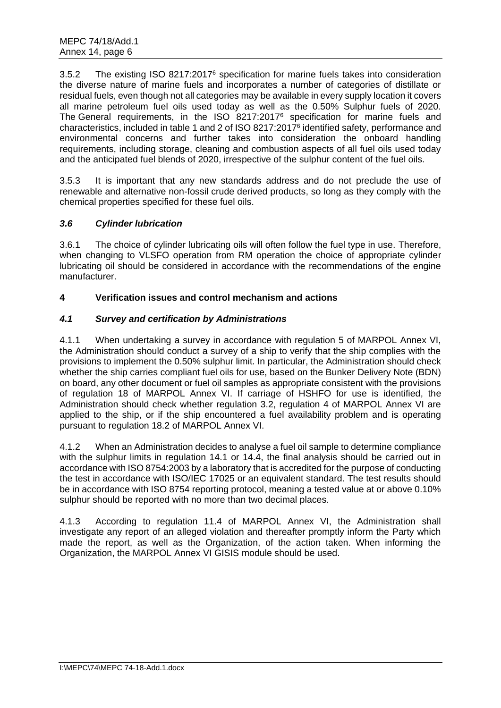3.5.2 The existing ISO 8217:2017<sup>6</sup> specification for marine fuels takes into consideration the diverse nature of marine fuels and incorporates a number of categories of distillate or residual fuels, even though not all categories may be available in every supply location it covers all marine petroleum fuel oils used today as well as the 0.50% Sulphur fuels of 2020. The General requirements, in the ISO 8217:2017<sup>6</sup> specification for marine fuels and characteristics, included in table 1 and 2 of ISO 8217:2017<sup>6</sup> identified safety, performance and environmental concerns and further takes into consideration the onboard handling requirements, including storage, cleaning and combustion aspects of all fuel oils used today and the anticipated fuel blends of 2020, irrespective of the sulphur content of the fuel oils.

3.5.3 It is important that any new standards address and do not preclude the use of renewable and alternative non-fossil crude derived products, so long as they comply with the chemical properties specified for these fuel oils.

# *3.6 Cylinder lubrication*

3.6.1 The choice of cylinder lubricating oils will often follow the fuel type in use. Therefore, when changing to VLSFO operation from RM operation the choice of appropriate cylinder lubricating oil should be considered in accordance with the recommendations of the engine manufacturer.

# **4 Verification issues and control mechanism and actions**

# *4.1 Survey and certification by Administrations*

4.1.1 When undertaking a survey in accordance with regulation 5 of MARPOL Annex VI, the Administration should conduct a survey of a ship to verify that the ship complies with the provisions to implement the 0.50% sulphur limit. In particular, the Administration should check whether the ship carries compliant fuel oils for use, based on the Bunker Delivery Note (BDN) on board, any other document or fuel oil samples as appropriate consistent with the provisions of regulation 18 of MARPOL Annex VI. If carriage of HSHFO for use is identified, the Administration should check whether regulation 3.2, regulation 4 of MARPOL Annex VI are applied to the ship, or if the ship encountered a fuel availability problem and is operating pursuant to regulation 18.2 of MARPOL Annex VI.

4.1.2 When an Administration decides to analyse a fuel oil sample to determine compliance with the sulphur limits in regulation 14.1 or 14.4, the final analysis should be carried out in accordance with ISO 8754:2003 by a laboratory that is accredited for the purpose of conducting the test in accordance with ISO/IEC 17025 or an equivalent standard. The test results should be in accordance with ISO 8754 reporting protocol, meaning a tested value at or above 0.10% sulphur should be reported with no more than two decimal places.

4.1.3 According to regulation 11.4 of MARPOL Annex VI, the Administration shall investigate any report of an alleged violation and thereafter promptly inform the Party which made the report, as well as the Organization, of the action taken. When informing the Organization, the MARPOL Annex VI GISIS module should be used.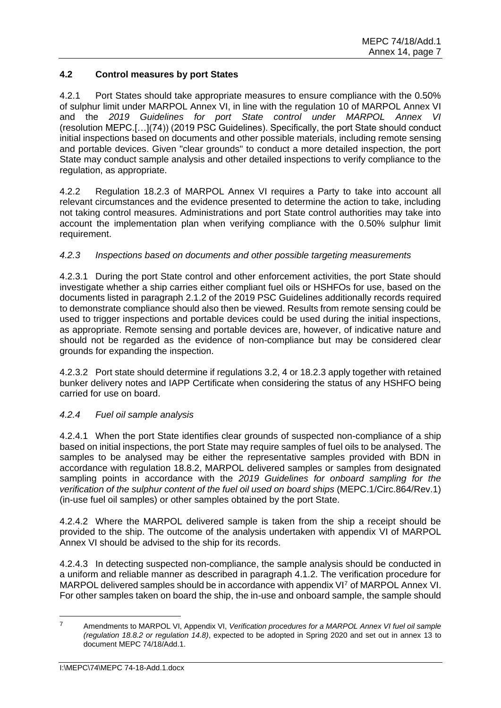# **4.2 Control measures by port States**

4.2.1 Port States should take appropriate measures to ensure compliance with the 0.50% of sulphur limit under MARPOL Annex VI, in line with the regulation 10 of MARPOL Annex VI and the *2019 Guidelines for port State control under MARPOL Annex VI*  (resolution MEPC.[…](74)) (2019 PSC Guidelines). Specifically, the port State should conduct initial inspections based on documents and other possible materials, including remote sensing and portable devices. Given "clear grounds" to conduct a more detailed inspection, the port State may conduct sample analysis and other detailed inspections to verify compliance to the regulation, as appropriate.

4.2.2 Regulation 18.2.3 of MARPOL Annex VI requires a Party to take into account all relevant circumstances and the evidence presented to determine the action to take, including not taking control measures. Administrations and port State control authorities may take into account the implementation plan when verifying compliance with the 0.50% sulphur limit requirement.

# *4.2.3 Inspections based on documents and other possible targeting measurements*

4.2.3.1 During the port State control and other enforcement activities, the port State should investigate whether a ship carries either compliant fuel oils or HSHFOs for use, based on the documents listed in paragraph 2.1.2 of the 2019 PSC Guidelines additionally records required to demonstrate compliance should also then be viewed. Results from remote sensing could be used to trigger inspections and portable devices could be used during the initial inspections, as appropriate. Remote sensing and portable devices are, however, of indicative nature and should not be regarded as the evidence of non-compliance but may be considered clear grounds for expanding the inspection.

4.2.3.2 Port state should determine if regulations 3.2, 4 or 18.2.3 apply together with retained bunker delivery notes and IAPP Certificate when considering the status of any HSHFO being carried for use on board.

# *4.2.4 Fuel oil sample analysis*

4.2.4.1 When the port State identifies clear grounds of suspected non-compliance of a ship based on initial inspections, the port State may require samples of fuel oils to be analysed. The samples to be analysed may be either the representative samples provided with BDN in accordance with regulation 18.8.2, MARPOL delivered samples or samples from designated sampling points in accordance with the *2019 Guidelines for onboard sampling for the verification of the sulphur content of the fuel oil used on board ships* (MEPC.1/Circ.864/Rev.1) (in-use fuel oil samples) or other samples obtained by the port State.

4.2.4.2 Where the MARPOL delivered sample is taken from the ship a receipt should be provided to the ship. The outcome of the analysis undertaken with appendix VI of MARPOL Annex VI should be advised to the ship for its records.

4.2.4.3 In detecting suspected non-compliance, the sample analysis should be conducted in a uniform and reliable manner as described in paragraph 4.1.2. The verification procedure for MARPOL delivered samples should be in accordance with appendix VI<sup>7</sup> of MARPOL Annex VI. For other samples taken on board the ship, the in-use and onboard sample, the sample should

 $\overline{z}$ <sup>7</sup> Amendments to MARPOL VI, Appendix VI, *Verification procedures for a MARPOL Annex VI fuel oil sample (regulation 18.8.2 or regulation 14.8)*, expected to be adopted in Spring 2020 and set out in annex 13 to document MEPC 74/18/Add.1.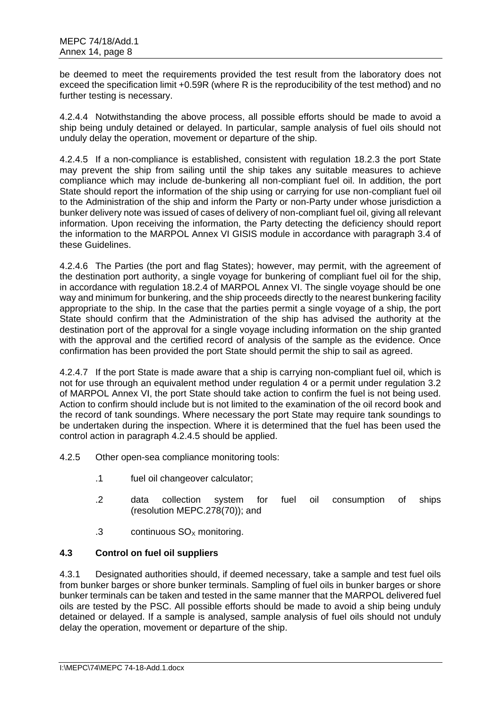be deemed to meet the requirements provided the test result from the laboratory does not exceed the specification limit +0.59R (where R is the reproducibility of the test method) and no further testing is necessary.

4.2.4.4 Notwithstanding the above process, all possible efforts should be made to avoid a ship being unduly detained or delayed. In particular, sample analysis of fuel oils should not unduly delay the operation, movement or departure of the ship.

4.2.4.5 If a non-compliance is established, consistent with regulation 18.2.3 the port State may prevent the ship from sailing until the ship takes any suitable measures to achieve compliance which may include de-bunkering all non-compliant fuel oil. In addition, the port State should report the information of the ship using or carrying for use non-compliant fuel oil to the Administration of the ship and inform the Party or non-Party under whose jurisdiction a bunker delivery note was issued of cases of delivery of non-compliant fuel oil, giving all relevant information. Upon receiving the information, the Party detecting the deficiency should report the information to the MARPOL Annex VI GISIS module in accordance with paragraph 3.4 of these Guidelines.

4.2.4.6 The Parties (the port and flag States); however, may permit, with the agreement of the destination port authority, a single voyage for bunkering of compliant fuel oil for the ship, in accordance with regulation 18.2.4 of MARPOL Annex VI. The single voyage should be one way and minimum for bunkering, and the ship proceeds directly to the nearest bunkering facility appropriate to the ship. In the case that the parties permit a single voyage of a ship, the port State should confirm that the Administration of the ship has advised the authority at the destination port of the approval for a single voyage including information on the ship granted with the approval and the certified record of analysis of the sample as the evidence. Once confirmation has been provided the port State should permit the ship to sail as agreed.

4.2.4.7 If the port State is made aware that a ship is carrying non-compliant fuel oil, which is not for use through an equivalent method under regulation 4 or a permit under regulation 3.2 of MARPOL Annex VI, the port State should take action to confirm the fuel is not being used. Action to confirm should include but is not limited to the examination of the oil record book and the record of tank soundings. Where necessary the port State may require tank soundings to be undertaken during the inspection. Where it is determined that the fuel has been used the control action in paragraph 4.2.4.5 should be applied.

- 4.2.5 Other open-sea compliance monitoring tools:
	- .1 fuel oil changeover calculator;
	- .2 data collection system for fuel oil consumption of ships (resolution MEPC.278(70)); and
	- $.3$  continuous  $SO<sub>x</sub>$  monitoring.

# **4.3 Control on fuel oil suppliers**

4.3.1 Designated authorities should, if deemed necessary, take a sample and test fuel oils from bunker barges or shore bunker terminals. Sampling of fuel oils in bunker barges or shore bunker terminals can be taken and tested in the same manner that the MARPOL delivered fuel oils are tested by the PSC. All possible efforts should be made to avoid a ship being unduly detained or delayed. If a sample is analysed, sample analysis of fuel oils should not unduly delay the operation, movement or departure of the ship.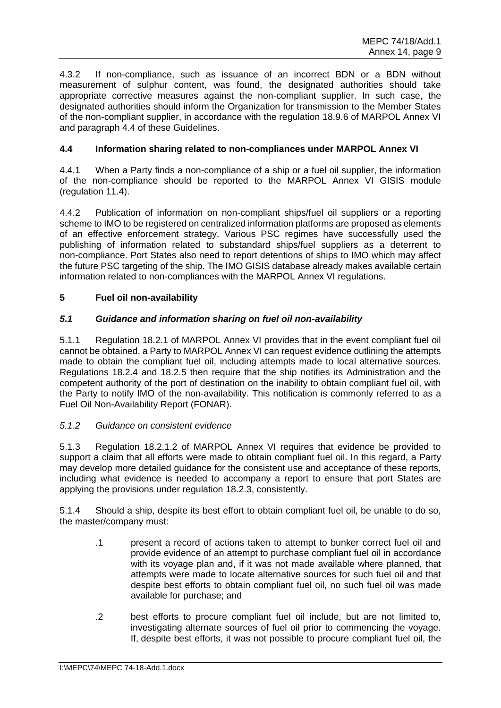4.3.2 If non-compliance, such as issuance of an incorrect BDN or a BDN without measurement of sulphur content, was found, the designated authorities should take appropriate corrective measures against the non-compliant supplier. In such case, the designated authorities should inform the Organization for transmission to the Member States of the non-compliant supplier, in accordance with the regulation 18.9.6 of MARPOL Annex VI and paragraph 4.4 of these Guidelines.

# **4.4 Information sharing related to non-compliances under MARPOL Annex VI**

4.4.1 When a Party finds a non-compliance of a ship or a fuel oil supplier, the information of the non-compliance should be reported to the MARPOL Annex VI GISIS module (regulation 11.4).

4.4.2 Publication of information on non-compliant ships/fuel oil suppliers or a reporting scheme to IMO to be registered on centralized information platforms are proposed as elements of an effective enforcement strategy. Various PSC regimes have successfully used the publishing of information related to substandard ships/fuel suppliers as a deterrent to non-compliance. Port States also need to report detentions of ships to IMO which may affect the future PSC targeting of the ship. The IMO GISIS database already makes available certain information related to non-compliances with the MARPOL Annex VI regulations.

# **5 Fuel oil non-availability**

# *5.1 Guidance and information sharing on fuel oil non-availability*

5.1.1 Regulation 18.2.1 of MARPOL Annex VI provides that in the event compliant fuel oil cannot be obtained, a Party to MARPOL Annex VI can request evidence outlining the attempts made to obtain the compliant fuel oil, including attempts made to local alternative sources. Regulations 18.2.4 and 18.2.5 then require that the ship notifies its Administration and the competent authority of the port of destination on the inability to obtain compliant fuel oil, with the Party to notify IMO of the non-availability. This notification is commonly referred to as a Fuel Oil Non-Availability Report (FONAR).

# *5.1.2 Guidance on consistent evidence*

5.1.3 Regulation 18.2.1.2 of MARPOL Annex VI requires that evidence be provided to support a claim that all efforts were made to obtain compliant fuel oil. In this regard, a Party may develop more detailed guidance for the consistent use and acceptance of these reports, including what evidence is needed to accompany a report to ensure that port States are applying the provisions under regulation 18.2.3, consistently.

5.1.4 Should a ship, despite its best effort to obtain compliant fuel oil, be unable to do so, the master/company must:

- .1 present a record of actions taken to attempt to bunker correct fuel oil and provide evidence of an attempt to purchase compliant fuel oil in accordance with its voyage plan and, if it was not made available where planned, that attempts were made to locate alternative sources for such fuel oil and that despite best efforts to obtain compliant fuel oil, no such fuel oil was made available for purchase; and
- .2 best efforts to procure compliant fuel oil include, but are not limited to, investigating alternate sources of fuel oil prior to commencing the voyage. If, despite best efforts, it was not possible to procure compliant fuel oil, the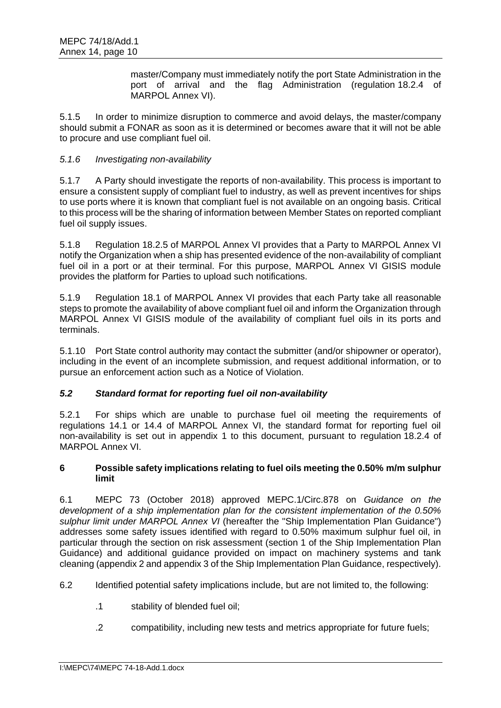master/Company must immediately notify the port State Administration in the port of arrival and the flag Administration (regulation 18.2.4 of MARPOL Annex VI).

5.1.5 In order to minimize disruption to commerce and avoid delays, the master/company should submit a FONAR as soon as it is determined or becomes aware that it will not be able to procure and use compliant fuel oil.

# *5.1.6 Investigating non-availability*

5.1.7 A Party should investigate the reports of non-availability. This process is important to ensure a consistent supply of compliant fuel to industry, as well as prevent incentives for ships to use ports where it is known that compliant fuel is not available on an ongoing basis. Critical to this process will be the sharing of information between Member States on reported compliant fuel oil supply issues.

5.1.8 Regulation 18.2.5 of MARPOL Annex VI provides that a Party to MARPOL Annex VI notify the Organization when a ship has presented evidence of the non-availability of compliant fuel oil in a port or at their terminal. For this purpose, MARPOL Annex VI GISIS module provides the platform for Parties to upload such notifications.

5.1.9 Regulation 18.1 of MARPOL Annex VI provides that each Party take all reasonable steps to promote the availability of above compliant fuel oil and inform the Organization through MARPOL Annex VI GISIS module of the availability of compliant fuel oils in its ports and terminals.

5.1.10 Port State control authority may contact the submitter (and/or shipowner or operator), including in the event of an incomplete submission, and request additional information, or to pursue an enforcement action such as a Notice of Violation.

# *5.2 Standard format for reporting fuel oil non-availability*

5.2.1 For ships which are unable to purchase fuel oil meeting the requirements of regulations 14.1 or 14.4 of MARPOL Annex VI, the standard format for reporting fuel oil non-availability is set out in appendix 1 to this document, pursuant to regulation 18.2.4 of MARPOL Annex VI.

# **6 Possible safety implications relating to fuel oils meeting the 0.50% m/m sulphur limit**

6.1 MEPC 73 (October 2018) approved MEPC.1/Circ.878 on *Guidance on the development of a ship implementation plan for the consistent implementation of the 0.50% sulphur limit under MARPOL Annex VI* (hereafter the "Ship Implementation Plan Guidance") addresses some safety issues identified with regard to 0.50% maximum sulphur fuel oil, in particular through the section on risk assessment (section 1 of the Ship Implementation Plan Guidance) and additional guidance provided on impact on machinery systems and tank cleaning (appendix 2 and appendix 3 of the Ship Implementation Plan Guidance, respectively).

6.2 Identified potential safety implications include, but are not limited to, the following:

- .1 stability of blended fuel oil;
- .2 compatibility, including new tests and metrics appropriate for future fuels;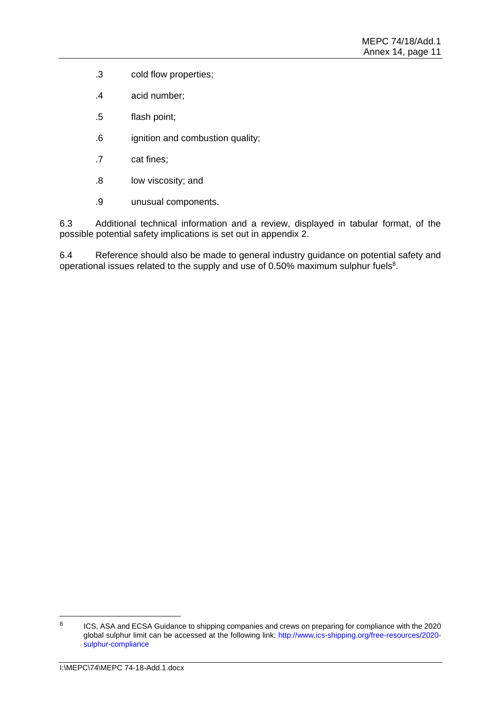- .3 cold flow properties;
- .4 acid number;
- .5 flash point;
- .6 ignition and combustion quality;
- .7 cat fines;
- .8 low viscosity; and
- .9 unusual components.

6.3 Additional technical information and a review, displayed in tabular format, of the possible potential safety implications is set out in appendix 2.

6.4 Reference should also be made to general industry guidance on potential safety and operational issues related to the supply and use of 0.50% maximum sulphur fuels $8$ .

<sup>8</sup> ICS, ASA and ECSA Guidance to shipping companies and crews on preparing for compliance with the 2020 global sulphur limit can be accessed at the following link: [http://www.ics-shipping.org/free-resources/2020](http://www.ics-shipping.org/free-resources/2020-sulphur-compliance) [sulphur-compliance](http://www.ics-shipping.org/free-resources/2020-sulphur-compliance)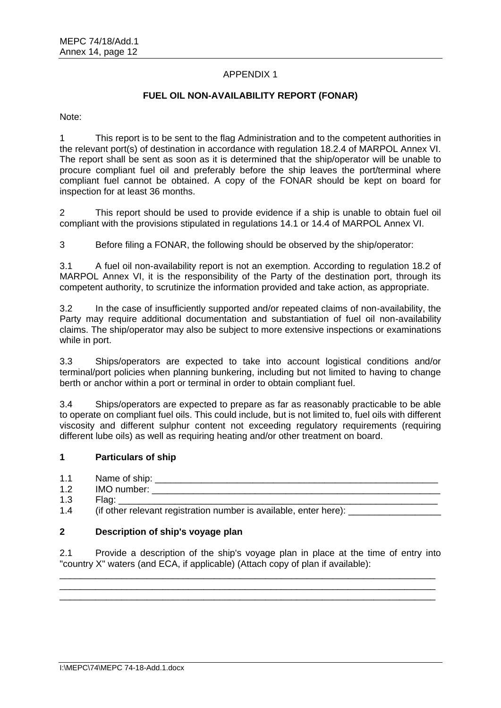# APPENDIX 1

# **FUEL OIL NON-AVAILABILITY REPORT (FONAR)**

Note:

1 This report is to be sent to the flag Administration and to the competent authorities in the relevant port(s) of destination in accordance with regulation 18.2.4 of MARPOL Annex VI. The report shall be sent as soon as it is determined that the ship/operator will be unable to procure compliant fuel oil and preferably before the ship leaves the port/terminal where compliant fuel cannot be obtained. A copy of the FONAR should be kept on board for inspection for at least 36 months.

2 This report should be used to provide evidence if a ship is unable to obtain fuel oil compliant with the provisions stipulated in regulations 14.1 or 14.4 of MARPOL Annex VI.

3 Before filing a FONAR, the following should be observed by the ship/operator:

3.1 A fuel oil non-availability report is not an exemption. According to regulation 18.2 of MARPOL Annex VI, it is the responsibility of the Party of the destination port, through its competent authority, to scrutinize the information provided and take action, as appropriate.

3.2 In the case of insufficiently supported and/or repeated claims of non-availability, the Party may require additional documentation and substantiation of fuel oil non-availability claims. The ship/operator may also be subject to more extensive inspections or examinations while in port.

3.3 Ships/operators are expected to take into account logistical conditions and/or terminal/port policies when planning bunkering, including but not limited to having to change berth or anchor within a port or terminal in order to obtain compliant fuel.

3.4 Ships/operators are expected to prepare as far as reasonably practicable to be able to operate on compliant fuel oils. This could include, but is not limited to, fuel oils with different viscosity and different sulphur content not exceeding regulatory requirements (requiring different lube oils) as well as requiring heating and/or other treatment on board.

### **1 Particulars of ship**

- 1.1 Name of ship:
- 1.2 IMO number:  $\qquad \qquad \qquad$
- 1.3 Flag: \_\_\_\_\_\_\_\_\_\_\_\_\_\_\_\_\_\_\_\_\_\_\_\_\_\_\_\_\_\_\_\_\_\_\_\_\_\_\_\_\_\_\_\_\_\_\_\_\_\_\_\_\_\_\_\_\_\_\_\_\_\_
- 1.4 (if other relevant registration number is available, enter here):

#### **2 Description of ship's voyage plan**

2.1 Provide a description of the ship's voyage plan in place at the time of entry into "country X" waters (and ECA, if applicable) (Attach copy of plan if available):

\_\_\_\_\_\_\_\_\_\_\_\_\_\_\_\_\_\_\_\_\_\_\_\_\_\_\_\_\_\_\_\_\_\_\_\_\_\_\_\_\_\_\_\_\_\_\_\_\_\_\_\_\_\_\_\_\_\_\_\_\_\_\_\_\_\_\_\_\_\_\_\_\_ \_\_\_\_\_\_\_\_\_\_\_\_\_\_\_\_\_\_\_\_\_\_\_\_\_\_\_\_\_\_\_\_\_\_\_\_\_\_\_\_\_\_\_\_\_\_\_\_\_\_\_\_\_\_\_\_\_\_\_\_\_\_\_\_\_\_\_\_\_\_\_\_\_ \_\_\_\_\_\_\_\_\_\_\_\_\_\_\_\_\_\_\_\_\_\_\_\_\_\_\_\_\_\_\_\_\_\_\_\_\_\_\_\_\_\_\_\_\_\_\_\_\_\_\_\_\_\_\_\_\_\_\_\_\_\_\_\_\_\_\_\_\_\_\_\_\_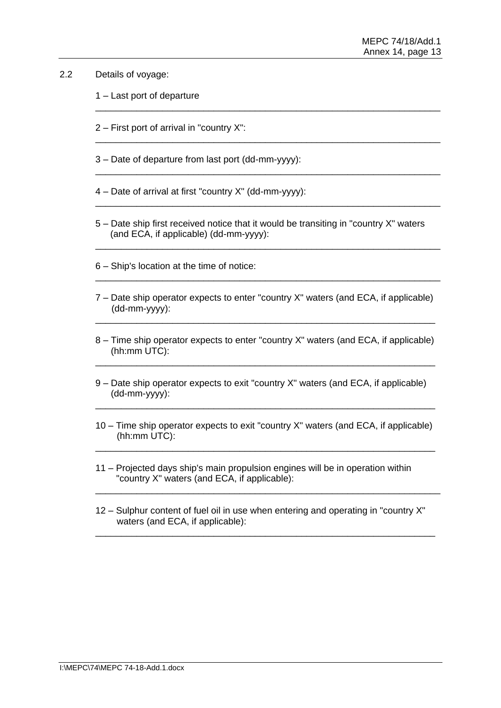### 2.2 Details of voyage:

- 1 Last port of departure
- 2 First port of arrival in "country X":
- 3 Date of departure from last port (dd-mm-yyyy):
- 4 Date of arrival at first "country X" (dd-mm-yyyy):
- 5 Date ship first received notice that it would be transiting in "country X" waters (and ECA, if applicable) (dd-mm-yyyy):

\_\_\_\_\_\_\_\_\_\_\_\_\_\_\_\_\_\_\_\_\_\_\_\_\_\_\_\_\_\_\_\_\_\_\_\_\_\_\_\_\_\_\_\_\_\_\_\_\_\_\_\_\_\_\_\_\_\_\_\_\_\_\_\_\_\_\_

\_\_\_\_\_\_\_\_\_\_\_\_\_\_\_\_\_\_\_\_\_\_\_\_\_\_\_\_\_\_\_\_\_\_\_\_\_\_\_\_\_\_\_\_\_\_\_\_\_\_\_\_\_\_\_\_\_\_\_\_\_\_\_\_\_\_\_

\_\_\_\_\_\_\_\_\_\_\_\_\_\_\_\_\_\_\_\_\_\_\_\_\_\_\_\_\_\_\_\_\_\_\_\_\_\_\_\_\_\_\_\_\_\_\_\_\_\_\_\_\_\_\_\_\_\_\_\_\_\_\_\_\_\_\_

\_\_\_\_\_\_\_\_\_\_\_\_\_\_\_\_\_\_\_\_\_\_\_\_\_\_\_\_\_\_\_\_\_\_\_\_\_\_\_\_\_\_\_\_\_\_\_\_\_\_\_\_\_\_\_\_\_\_\_\_\_\_\_\_\_\_\_

\_\_\_\_\_\_\_\_\_\_\_\_\_\_\_\_\_\_\_\_\_\_\_\_\_\_\_\_\_\_\_\_\_\_\_\_\_\_\_\_\_\_\_\_\_\_\_\_\_\_\_\_\_\_\_\_\_\_\_\_\_\_\_\_\_\_\_

\_\_\_\_\_\_\_\_\_\_\_\_\_\_\_\_\_\_\_\_\_\_\_\_\_\_\_\_\_\_\_\_\_\_\_\_\_\_\_\_\_\_\_\_\_\_\_\_\_\_\_\_\_\_\_\_\_\_\_\_\_\_\_\_\_\_\_

- 6 Ship's location at the time of notice:
- 7 Date ship operator expects to enter "country X" waters (and ECA, if applicable) (dd-mm-yyyy): \_\_\_\_\_\_\_\_\_\_\_\_\_\_\_\_\_\_\_\_\_\_\_\_\_\_\_\_\_\_\_\_\_\_\_\_\_\_\_\_\_\_\_\_\_\_\_\_\_\_\_\_\_\_\_\_\_\_\_\_\_\_\_\_\_\_
- 8 Time ship operator expects to enter "country X" waters (and ECA, if applicable) (hh:mm UTC): \_\_\_\_\_\_\_\_\_\_\_\_\_\_\_\_\_\_\_\_\_\_\_\_\_\_\_\_\_\_\_\_\_\_\_\_\_\_\_\_\_\_\_\_\_\_\_\_\_\_\_\_\_\_\_\_\_\_\_\_\_\_\_\_\_\_
- 9 Date ship operator expects to exit "country X" waters (and ECA, if applicable) (dd-mm-yyyy):
- 10 Time ship operator expects to exit "country X" waters (and ECA, if applicable) (hh:mm UTC): \_\_\_\_\_\_\_\_\_\_\_\_\_\_\_\_\_\_\_\_\_\_\_\_\_\_\_\_\_\_\_\_\_\_\_\_\_\_\_\_\_\_\_\_\_\_\_\_\_\_\_\_\_\_\_\_\_\_\_\_\_\_\_\_\_\_

\_\_\_\_\_\_\_\_\_\_\_\_\_\_\_\_\_\_\_\_\_\_\_\_\_\_\_\_\_\_\_\_\_\_\_\_\_\_\_\_\_\_\_\_\_\_\_\_\_\_\_\_\_\_\_\_\_\_\_\_\_\_\_\_\_\_

- 11 Projected days ship's main propulsion engines will be in operation within "country X" waters (and ECA, if applicable):
- 12 Sulphur content of fuel oil in use when entering and operating in "country X" waters (and ECA, if applicable):

\_\_\_\_\_\_\_\_\_\_\_\_\_\_\_\_\_\_\_\_\_\_\_\_\_\_\_\_\_\_\_\_\_\_\_\_\_\_\_\_\_\_\_\_\_\_\_\_\_\_\_\_\_\_\_\_\_\_\_\_\_\_\_\_\_\_

\_\_\_\_\_\_\_\_\_\_\_\_\_\_\_\_\_\_\_\_\_\_\_\_\_\_\_\_\_\_\_\_\_\_\_\_\_\_\_\_\_\_\_\_\_\_\_\_\_\_\_\_\_\_\_\_\_\_\_\_\_\_\_\_\_\_\_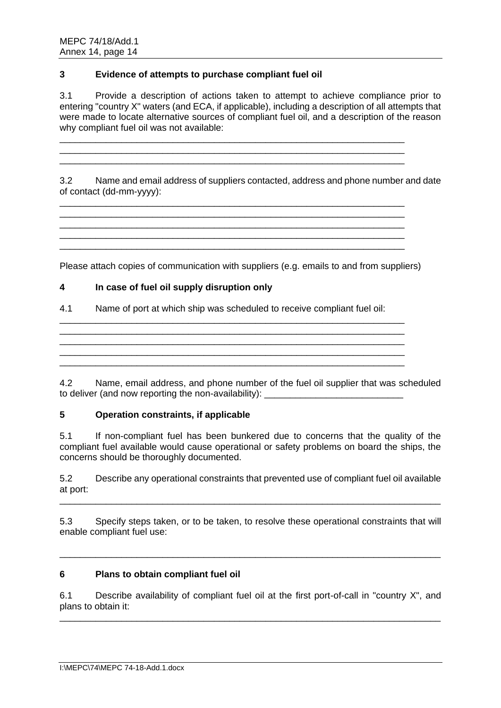### **3 Evidence of attempts to purchase compliant fuel oil**

3.1 Provide a description of actions taken to attempt to achieve compliance prior to entering "country X" waters (and ECA, if applicable), including a description of all attempts that were made to locate alternative sources of compliant fuel oil, and a description of the reason why compliant fuel oil was not available:

\_\_\_\_\_\_\_\_\_\_\_\_\_\_\_\_\_\_\_\_\_\_\_\_\_\_\_\_\_\_\_\_\_\_\_\_\_\_\_\_\_\_\_\_\_\_\_\_\_\_\_\_\_\_\_\_\_\_\_\_\_\_\_\_\_\_\_ \_\_\_\_\_\_\_\_\_\_\_\_\_\_\_\_\_\_\_\_\_\_\_\_\_\_\_\_\_\_\_\_\_\_\_\_\_\_\_\_\_\_\_\_\_\_\_\_\_\_\_\_\_\_\_\_\_\_\_\_\_\_\_\_\_\_\_ \_\_\_\_\_\_\_\_\_\_\_\_\_\_\_\_\_\_\_\_\_\_\_\_\_\_\_\_\_\_\_\_\_\_\_\_\_\_\_\_\_\_\_\_\_\_\_\_\_\_\_\_\_\_\_\_\_\_\_\_\_\_\_\_\_\_\_

\_\_\_\_\_\_\_\_\_\_\_\_\_\_\_\_\_\_\_\_\_\_\_\_\_\_\_\_\_\_\_\_\_\_\_\_\_\_\_\_\_\_\_\_\_\_\_\_\_\_\_\_\_\_\_\_\_\_\_\_\_\_\_\_\_\_\_ \_\_\_\_\_\_\_\_\_\_\_\_\_\_\_\_\_\_\_\_\_\_\_\_\_\_\_\_\_\_\_\_\_\_\_\_\_\_\_\_\_\_\_\_\_\_\_\_\_\_\_\_\_\_\_\_\_\_\_\_\_\_\_\_\_\_\_ \_\_\_\_\_\_\_\_\_\_\_\_\_\_\_\_\_\_\_\_\_\_\_\_\_\_\_\_\_\_\_\_\_\_\_\_\_\_\_\_\_\_\_\_\_\_\_\_\_\_\_\_\_\_\_\_\_\_\_\_\_\_\_\_\_\_\_ \_\_\_\_\_\_\_\_\_\_\_\_\_\_\_\_\_\_\_\_\_\_\_\_\_\_\_\_\_\_\_\_\_\_\_\_\_\_\_\_\_\_\_\_\_\_\_\_\_\_\_\_\_\_\_\_\_\_\_\_\_\_\_\_\_\_\_ \_\_\_\_\_\_\_\_\_\_\_\_\_\_\_\_\_\_\_\_\_\_\_\_\_\_\_\_\_\_\_\_\_\_\_\_\_\_\_\_\_\_\_\_\_\_\_\_\_\_\_\_\_\_\_\_\_\_\_\_\_\_\_\_\_\_\_

3.2 Name and email address of suppliers contacted, address and phone number and date of contact (dd-mm-yyyy):

Please attach copies of communication with suppliers (e.g. emails to and from suppliers)

### **4 In case of fuel oil supply disruption only**

4.1 Name of port at which ship was scheduled to receive compliant fuel oil:

\_\_\_\_\_\_\_\_\_\_\_\_\_\_\_\_\_\_\_\_\_\_\_\_\_\_\_\_\_\_\_\_\_\_\_\_\_\_\_\_\_\_\_\_\_\_\_\_\_\_\_\_\_\_\_\_\_\_\_\_\_\_\_\_\_\_\_ \_\_\_\_\_\_\_\_\_\_\_\_\_\_\_\_\_\_\_\_\_\_\_\_\_\_\_\_\_\_\_\_\_\_\_\_\_\_\_\_\_\_\_\_\_\_\_\_\_\_\_\_\_\_\_\_\_\_\_\_\_\_\_\_\_\_\_ \_\_\_\_\_\_\_\_\_\_\_\_\_\_\_\_\_\_\_\_\_\_\_\_\_\_\_\_\_\_\_\_\_\_\_\_\_\_\_\_\_\_\_\_\_\_\_\_\_\_\_\_\_\_\_\_\_\_\_\_\_\_\_\_\_\_\_ \_\_\_\_\_\_\_\_\_\_\_\_\_\_\_\_\_\_\_\_\_\_\_\_\_\_\_\_\_\_\_\_\_\_\_\_\_\_\_\_\_\_\_\_\_\_\_\_\_\_\_\_\_\_\_\_\_\_\_\_\_\_\_\_\_\_\_

4.2 Name, email address, and phone number of the fuel oil supplier that was scheduled to deliver (and now reporting the non-availability):

### **5 Operation constraints, if applicable**

5.1 If non-compliant fuel has been bunkered due to concerns that the quality of the compliant fuel available would cause operational or safety problems on board the ships, the concerns should be thoroughly documented.

5.2 Describe any operational constraints that prevented use of compliant fuel oil available at port: \_\_\_\_\_\_\_\_\_\_\_\_\_\_\_\_\_\_\_\_\_\_\_\_\_\_\_\_\_\_\_\_\_\_\_\_\_\_\_\_\_\_\_\_\_\_\_\_\_\_\_\_\_\_\_\_\_\_\_\_\_\_\_\_\_\_\_\_\_\_\_\_\_\_

5.3 Specify steps taken, or to be taken, to resolve these operational constraints that will enable compliant fuel use:

\_\_\_\_\_\_\_\_\_\_\_\_\_\_\_\_\_\_\_\_\_\_\_\_\_\_\_\_\_\_\_\_\_\_\_\_\_\_\_\_\_\_\_\_\_\_\_\_\_\_\_\_\_\_\_\_\_\_\_\_\_\_\_\_\_\_\_\_\_\_\_\_\_\_

# **6 Plans to obtain compliant fuel oil**

6.1 Describe availability of compliant fuel oil at the first port-of-call in "country X", and plans to obtain it: \_\_\_\_\_\_\_\_\_\_\_\_\_\_\_\_\_\_\_\_\_\_\_\_\_\_\_\_\_\_\_\_\_\_\_\_\_\_\_\_\_\_\_\_\_\_\_\_\_\_\_\_\_\_\_\_\_\_\_\_\_\_\_\_\_\_\_\_\_\_\_\_\_\_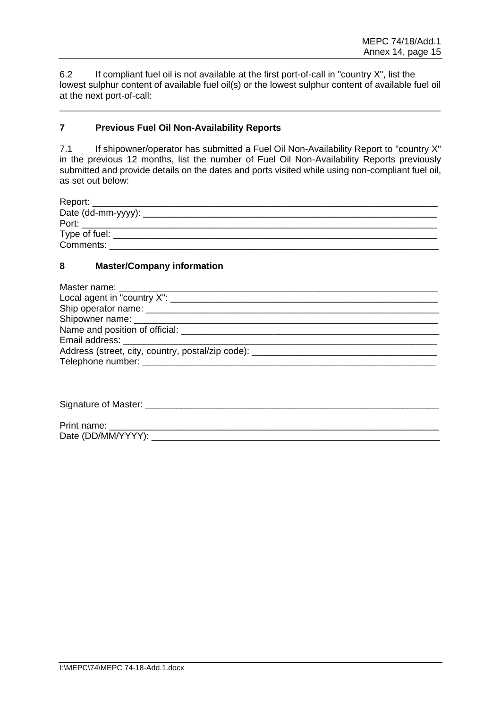6.2 If compliant fuel oil is not available at the first port-of-call in "country X", list the lowest sulphur content of available fuel oil(s) or the lowest sulphur content of available fuel oil at the next port-of-call:

\_\_\_\_\_\_\_\_\_\_\_\_\_\_\_\_\_\_\_\_\_\_\_\_\_\_\_\_\_\_\_\_\_\_\_\_\_\_\_\_\_\_\_\_\_\_\_\_\_\_\_\_\_\_\_\_\_\_\_\_\_\_\_\_\_\_\_\_\_\_\_\_\_\_

### **7 Previous Fuel Oil Non-Availability Reports**

7.1 If shipowner/operator has submitted a Fuel Oil Non-Availability Report to "country X" in the previous 12 months, list the number of Fuel Oil Non-Availability Reports previously submitted and provide details on the dates and ports visited while using non-compliant fuel oil, as set out below:

| Port:                      |  |  |
|----------------------------|--|--|
|                            |  |  |
| Type of fuel:<br>Comments: |  |  |

#### **8 Master/Company information**

| Address (street, city, country, postal/zip code): |
|---------------------------------------------------|
|                                                   |
|                                                   |

Signature of Master: \_\_\_\_\_\_\_\_\_\_\_\_\_\_\_\_\_\_\_\_\_\_\_\_\_\_\_\_\_\_\_\_\_\_\_\_\_\_\_\_\_\_\_\_\_\_\_\_\_\_\_\_\_\_\_\_\_

| Print<br>. name:               |  |
|--------------------------------|--|
| <b>Dota</b><br>DD/MM/YY<br>paw |  |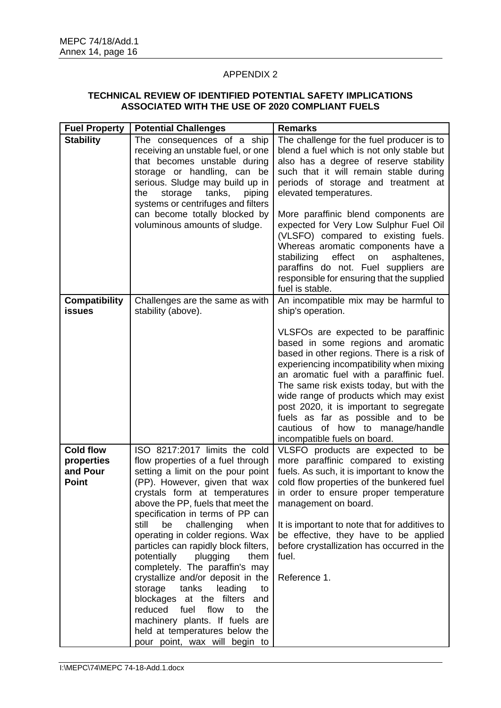# APPENDIX 2

### **TECHNICAL REVIEW OF IDENTIFIED POTENTIAL SAFETY IMPLICATIONS ASSOCIATED WITH THE USE OF 2020 COMPLIANT FUELS**

| <b>Fuel Property</b>                  | <b>Potential Challenges</b>                                                | <b>Remarks</b>                                                                    |
|---------------------------------------|----------------------------------------------------------------------------|-----------------------------------------------------------------------------------|
| <b>Stability</b>                      | The consequences of a ship                                                 | The challenge for the fuel producer is to                                         |
|                                       | receiving an unstable fuel, or one                                         | blend a fuel which is not only stable but                                         |
|                                       | that becomes unstable during                                               | also has a degree of reserve stability                                            |
|                                       | storage or handling, can be                                                | such that it will remain stable during                                            |
|                                       | serious. Sludge may build up in                                            | periods of storage and treatment at                                               |
|                                       | storage<br>tanks,<br>the<br>piping                                         | elevated temperatures.                                                            |
|                                       | systems or centrifuges and filters<br>can become totally blocked by        | More paraffinic blend components are                                              |
|                                       | voluminous amounts of sludge.                                              | expected for Very Low Sulphur Fuel Oil                                            |
|                                       |                                                                            | (VLSFO) compared to existing fuels.                                               |
|                                       |                                                                            | Whereas aromatic components have a                                                |
|                                       |                                                                            | stabilizing<br>effect<br>asphaltenes,<br>on                                       |
|                                       |                                                                            | paraffins do not. Fuel suppliers are                                              |
|                                       |                                                                            | responsible for ensuring that the supplied                                        |
|                                       |                                                                            | fuel is stable.                                                                   |
| <b>Compatibility</b><br><b>issues</b> | Challenges are the same as with<br>stability (above).                      | An incompatible mix may be harmful to<br>ship's operation.                        |
|                                       |                                                                            |                                                                                   |
|                                       |                                                                            | VLSFOs are expected to be paraffinic                                              |
|                                       |                                                                            | based in some regions and aromatic                                                |
|                                       |                                                                            | based in other regions. There is a risk of                                        |
|                                       |                                                                            | experiencing incompatibility when mixing                                          |
|                                       |                                                                            | an aromatic fuel with a paraffinic fuel.                                          |
|                                       |                                                                            | The same risk exists today, but with the                                          |
|                                       |                                                                            | wide range of products which may exist<br>post 2020, it is important to segregate |
|                                       |                                                                            | fuels as far as possible and to be                                                |
|                                       |                                                                            | how to manage/handle<br>cautious<br>of                                            |
|                                       |                                                                            | incompatible fuels on board.                                                      |
| <b>Cold flow</b>                      | ISO 8217:2017 limits the cold                                              | VLSFO products are expected to be                                                 |
| properties                            | flow properties of a fuel through                                          | more paraffinic compared to existing                                              |
| and Pour                              | setting a limit on the pour point                                          | fuels. As such, it is important to know the                                       |
| <b>Point</b>                          | (PP). However, given that wax                                              | cold flow properties of the bunkered fuel                                         |
|                                       | crystals form at temperatures<br>above the PP, fuels that meet the         | in order to ensure proper temperature                                             |
|                                       | specification in terms of PP can                                           | management on board.                                                              |
|                                       | challenging<br>still<br>be<br>when                                         | It is important to note that for additives to                                     |
|                                       | operating in colder regions. Wax                                           | be effective, they have to be applied                                             |
|                                       | particles can rapidly block filters,                                       | before crystallization has occurred in the                                        |
|                                       | potentially<br>plugging<br>them                                            | fuel.                                                                             |
|                                       | completely. The paraffin's may                                             |                                                                                   |
|                                       | crystallize and/or deposit in the                                          | Reference 1.                                                                      |
|                                       | storage<br>tanks<br>leading<br>to                                          |                                                                                   |
|                                       | blockages<br>at the filters<br>and<br>reduced<br>fuel<br>flow<br>to<br>the |                                                                                   |
|                                       | machinery plants. If fuels are                                             |                                                                                   |
|                                       | held at temperatures below the                                             |                                                                                   |
|                                       | pour point, wax will begin to                                              |                                                                                   |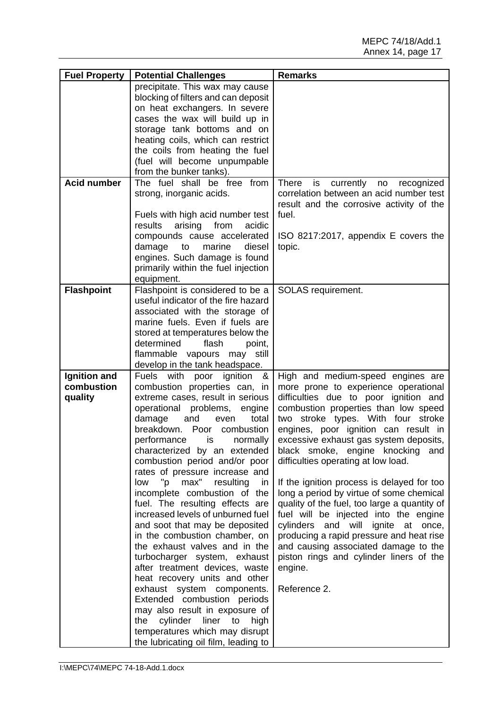| <b>Fuel Property</b> | <b>Potential Challenges</b>                               | <b>Remarks</b>                                      |
|----------------------|-----------------------------------------------------------|-----------------------------------------------------|
|                      | precipitate. This wax may cause                           |                                                     |
|                      | blocking of filters and can deposit                       |                                                     |
|                      | on heat exchangers. In severe                             |                                                     |
|                      | cases the wax will build up in                            |                                                     |
|                      | storage tank bottoms and on                               |                                                     |
|                      | heating coils, which can restrict                         |                                                     |
|                      | the coils from heating the fuel                           |                                                     |
|                      | (fuel will become unpumpable                              |                                                     |
|                      | from the bunker tanks).                                   |                                                     |
| <b>Acid number</b>   | The fuel shall be free from                               | <b>There</b><br>is<br>currently<br>recognized<br>no |
|                      | strong, inorganic acids.                                  | correlation between an acid number test             |
|                      |                                                           | result and the corrosive activity of the            |
|                      | Fuels with high acid number test                          | fuel.                                               |
|                      | arising<br>from<br>results<br>acidic                      |                                                     |
|                      | compounds cause accelerated                               | ISO 8217:2017, appendix E covers the                |
|                      | damage<br>to<br>marine<br>diesel                          | topic.                                              |
|                      | engines. Such damage is found                             |                                                     |
|                      | primarily within the fuel injection                       |                                                     |
| <b>Flashpoint</b>    | equipment.<br>Flashpoint is considered to be a            | SOLAS requirement.                                  |
|                      | useful indicator of the fire hazard                       |                                                     |
|                      | associated with the storage of                            |                                                     |
|                      | marine fuels. Even if fuels are                           |                                                     |
|                      | stored at temperatures below the                          |                                                     |
|                      | determined<br>flash<br>point,                             |                                                     |
|                      | flammable vapours may<br>still                            |                                                     |
|                      | develop in the tank headspace.                            |                                                     |
| Ignition and         | with<br>ignition<br><b>Fuels</b><br>poor<br>&             | High and medium-speed engines are                   |
| combustion           | combustion properties can, in                             | more prone to experience operational                |
| quality              | extreme cases, result in serious                          | difficulties due to poor ignition and               |
|                      | operational problems,<br>engine                           | combustion properties than low speed                |
|                      | damage<br>and<br>total<br>even                            | two stroke types. With four stroke                  |
|                      | breakdown.<br>Poor<br>combustion                          | engines, poor ignition can result in                |
|                      | performance<br>normally<br>is                             | excessive exhaust gas system deposits,              |
|                      | characterized by an extended                              | black smoke, engine knocking<br>and                 |
|                      | combustion period and/or poor                             | difficulties operating at low load.                 |
|                      | rates of pressure increase and                            |                                                     |
|                      | max"<br>"p<br>resulting<br>low<br>in.                     | If the ignition process is delayed for too          |
|                      | incomplete combustion of the                              | long a period by virtue of some chemical            |
|                      | fuel. The resulting effects are                           | quality of the fuel, too large a quantity of        |
|                      | increased levels of unburned fuel                         | fuel will be injected into the engine               |
|                      | and soot that may be deposited                            | cylinders and will ignite at once,                  |
|                      | in the combustion chamber, on                             | producing a rapid pressure and heat rise            |
|                      | the exhaust valves and in the                             | and causing associated damage to the                |
|                      | turbocharger system, exhaust                              | piston rings and cylinder liners of the             |
|                      | after treatment devices, waste                            | engine.                                             |
|                      | heat recovery units and other                             |                                                     |
|                      | exhaust system components.<br>Extended combustion periods | Reference 2.                                        |
|                      | may also result in exposure of                            |                                                     |
|                      | cylinder liner to<br>the<br>high                          |                                                     |
|                      | temperatures which may disrupt                            |                                                     |
|                      | the lubricating oil film, leading to                      |                                                     |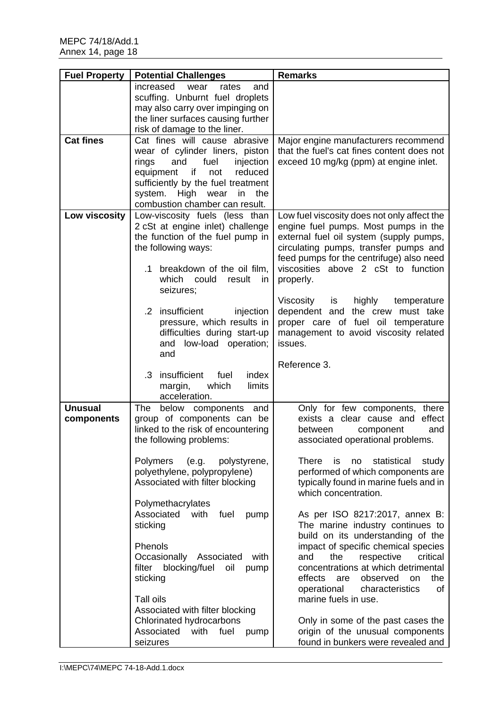| <b>Fuel Property</b> | <b>Potential Challenges</b>                                          | <b>Remarks</b>                                                                         |
|----------------------|----------------------------------------------------------------------|----------------------------------------------------------------------------------------|
|                      | increased<br>wear<br>rates<br>and<br>scuffing. Unburnt fuel droplets |                                                                                        |
|                      | may also carry over impinging on                                     |                                                                                        |
|                      | the liner surfaces causing further                                   |                                                                                        |
|                      | risk of damage to the liner.                                         |                                                                                        |
| <b>Cat fines</b>     | Cat fines will cause abrasive<br>wear of cylinder liners, piston     | Major engine manufacturers recommend<br>that the fuel's cat fines content does not     |
|                      | fuel<br>and<br>injection<br>rings                                    | exceed 10 mg/kg (ppm) at engine inlet.                                                 |
|                      | equipment if<br>reduced<br>not                                       |                                                                                        |
|                      | sufficiently by the fuel treatment                                   |                                                                                        |
|                      | system. High<br>wear<br>in<br>the<br>combustion chamber can result.  |                                                                                        |
| Low viscosity        | Low-viscosity fuels (less than                                       | Low fuel viscosity does not only affect the                                            |
|                      | 2 cSt at engine inlet) challenge                                     | engine fuel pumps. Most pumps in the                                                   |
|                      | the function of the fuel pump in                                     | external fuel oil system (supply pumps,                                                |
|                      | the following ways:                                                  | circulating pumps, transfer pumps and<br>feed pumps for the centrifuge) also need      |
|                      | .1 breakdown of the oil film,                                        | viscosities above 2 cSt to function                                                    |
|                      | which<br>could<br>result<br>$\mathsf{I}$                             | properly.                                                                              |
|                      | seizures;                                                            | <b>Viscosity</b><br>is<br>highly<br>temperature                                        |
|                      | .2 insufficient<br>injection                                         | dependent and<br>the crew must take                                                    |
|                      | pressure, which results in                                           | proper care of fuel oil temperature                                                    |
|                      | difficulties during start-up                                         | management to avoid viscosity related                                                  |
|                      | and low-load operation;<br>and                                       | issues.                                                                                |
|                      |                                                                      | Reference 3.                                                                           |
|                      | insufficient<br>index<br>$\cdot$ 3<br>fuel                           |                                                                                        |
|                      | margin,<br>which<br>limits<br>acceleration.                          |                                                                                        |
| <b>Unusual</b>       | The<br>below components and                                          | Only for few components, there                                                         |
| components           | group of components can be                                           | effect<br>exists a clear cause and                                                     |
|                      | linked to the risk of encountering                                   | between<br>and<br>component                                                            |
|                      | the following problems:                                              | associated operational problems.                                                       |
|                      | <b>Polymers</b><br>(e.g.<br>polystyrene,                             | There<br>is<br>statistical<br>no<br>study                                              |
|                      | polyethylene, polypropylene)                                         | performed of which components are                                                      |
|                      | Associated with filter blocking                                      | typically found in marine fuels and in<br>which concentration.                         |
|                      | Polymethacrylates                                                    |                                                                                        |
|                      | Associated<br>with<br>fuel<br>pump                                   | As per ISO 8217:2017, annex B:                                                         |
|                      | sticking                                                             | The marine industry continues to<br>build on its understanding of the                  |
|                      | Phenols                                                              | impact of specific chemical species                                                    |
|                      | Occasionally Associated<br>with                                      | the<br>respective<br>critical<br>and                                                   |
|                      | blocking/fuel<br>filter<br>oil<br>pump                               | concentrations at which detrimental                                                    |
|                      | sticking                                                             | effects<br>observed<br>the<br>are<br><b>on</b><br>operational<br>characteristics<br>οf |
|                      | Tall oils                                                            | marine fuels in use.                                                                   |
|                      | Associated with filter blocking                                      |                                                                                        |
|                      | Chlorinated hydrocarbons<br>Associated with<br>fuel<br>pump          | Only in some of the past cases the<br>origin of the unusual components                 |
|                      | seizures                                                             | found in bunkers were revealed and                                                     |